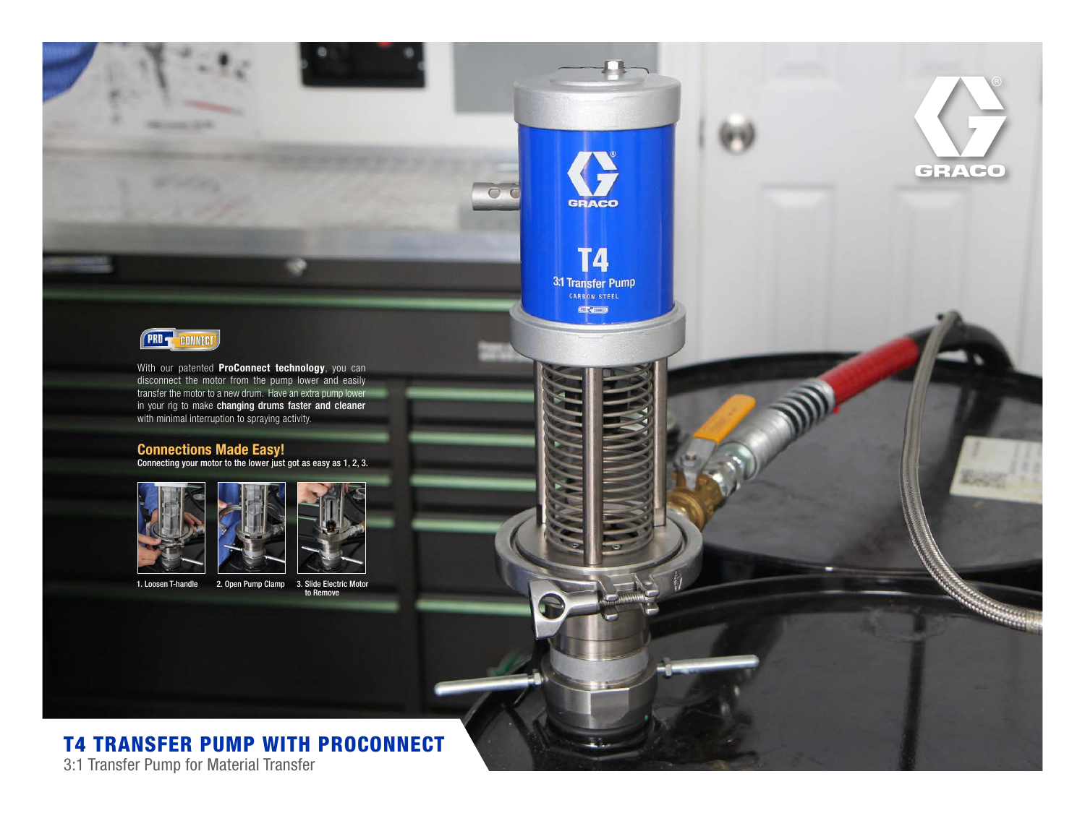

With our patented **ProConnect technology**, you can disconnect the motor from the pump lower and easily transfer the motor to a new drum. Have an extra pump lower in your rig to make changing drums faster and cleaner with minimal interruption to spraying activity.

### Connections Made Easy!

Connecting your motor to the lower just got as easy as 1, 2, 3.





1. Loosen T-handle 2. Open Pump Clamp 3. Slide Electric Motor



 $\bigcirc$ 

**GRACO** 

**T4** 

**3:1 Transfer Pump CENT** 

GRACO

# T4 TRANSFER PUMP WITH PROCONNECT

3:1 Transfer Pump for Material Transfer